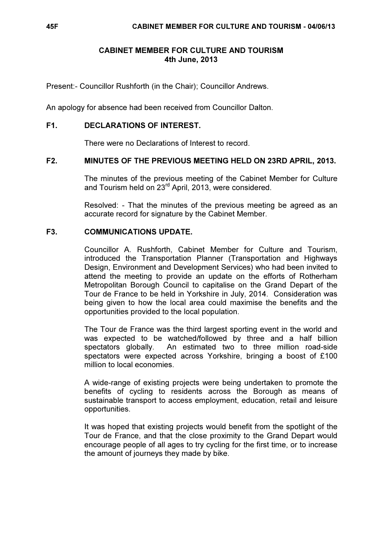## CABINET MEMBER FOR CULTURE AND TOURISM 4th June, 2013

Present:- Councillor Rushforth (in the Chair); Councillor Andrews.

An apology for absence had been received from Councillor Dalton.

## F1. DECLARATIONS OF INTEREST.

There were no Declarations of Interest to record.

#### F2. MINUTES OF THE PREVIOUS MEETING HELD ON 23RD APRIL, 2013.

 The minutes of the previous meeting of the Cabinet Member for Culture and Tourism held on 23<sup>rd</sup> April, 2013, were considered.

Resolved: - That the minutes of the previous meeting be agreed as an accurate record for signature by the Cabinet Member.

#### F3. COMMUNICATIONS UPDATE.

 Councillor A. Rushforth, Cabinet Member for Culture and Tourism, introduced the Transportation Planner (Transportation and Highways Design, Environment and Development Services) who had been invited to attend the meeting to provide an update on the efforts of Rotherham Metropolitan Borough Council to capitalise on the Grand Depart of the Tour de France to be held in Yorkshire in July, 2014. Consideration was being given to how the local area could maximise the benefits and the opportunities provided to the local population.

The Tour de France was the third largest sporting event in the world and was expected to be watched/followed by three and a half billion spectators globally. An estimated two to three million road-side spectators were expected across Yorkshire, bringing a boost of £100 million to local economies.

A wide-range of existing projects were being undertaken to promote the benefits of cycling to residents across the Borough as means of sustainable transport to access employment, education, retail and leisure opportunities.

It was hoped that existing projects would benefit from the spotlight of the Tour de France, and that the close proximity to the Grand Depart would encourage people of all ages to try cycling for the first time, or to increase the amount of journeys they made by bike.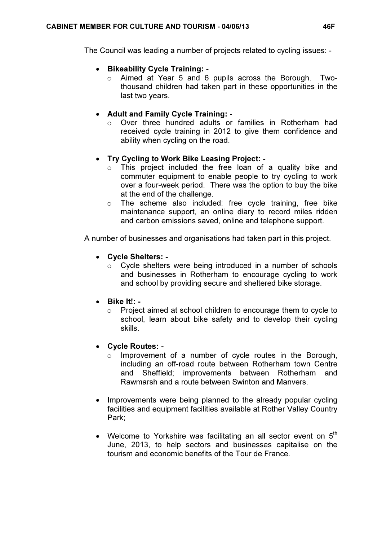The Council was leading a number of projects related to cycling issues: -

- Bikeability Cycle Training:
	- o Aimed at Year 5 and 6 pupils across the Borough. Twothousand children had taken part in these opportunities in the last two years.
- Adult and Family Cycle Training:
	- o Over three hundred adults or families in Rotherham had received cycle training in 2012 to give them confidence and ability when cycling on the road.
- Try Cycling to Work Bike Leasing Project:
	- This project included the free loan of a quality bike and commuter equipment to enable people to try cycling to work over a four-week period. There was the option to buy the bike at the end of the challenge.
	- o The scheme also included: free cycle training, free bike maintenance support, an online diary to record miles ridden and carbon emissions saved, online and telephone support.

A number of businesses and organisations had taken part in this project.

- Cycle Shelters:
	- o Cycle shelters were being introduced in a number of schools and businesses in Rotherham to encourage cycling to work and school by providing secure and sheltered bike storage.
- Bike It!:
	- o Project aimed at school children to encourage them to cycle to school, learn about bike safety and to develop their cycling skills.
- Cycle Routes:
	- o Improvement of a number of cycle routes in the Borough, including an off-road route between Rotherham town Centre and Sheffield; improvements between Rotherham and Rawmarsh and a route between Swinton and Manvers.
- Improvements were being planned to the already popular cycling facilities and equipment facilities available at Rother Valley Country Park;
- Welcome to Yorkshire was facilitating an all sector event on  $5<sup>th</sup>$ June, 2013, to help sectors and businesses capitalise on the tourism and economic benefits of the Tour de France.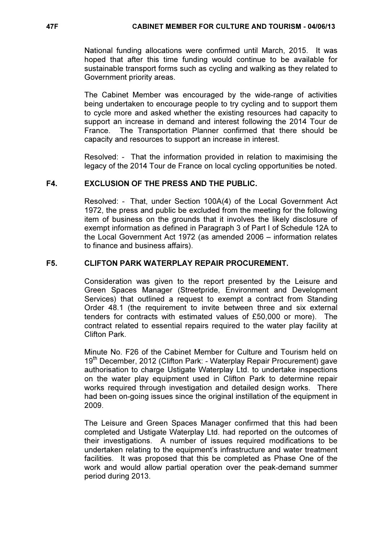National funding allocations were confirmed until March, 2015. It was hoped that after this time funding would continue to be available for sustainable transport forms such as cycling and walking as they related to Government priority areas.

The Cabinet Member was encouraged by the wide-range of activities being undertaken to encourage people to try cycling and to support them to cycle more and asked whether the existing resources had capacity to support an increase in demand and interest following the 2014 Tour de France. The Transportation Planner confirmed that there should be capacity and resources to support an increase in interest.

Resolved: - That the information provided in relation to maximising the legacy of the 2014 Tour de France on local cycling opportunities be noted.

## F4. EXCLUSION OF THE PRESS AND THE PUBLIC.

 Resolved: - That, under Section 100A(4) of the Local Government Act 1972, the press and public be excluded from the meeting for the following item of business on the grounds that it involves the likely disclosure of exempt information as defined in Paragraph 3 of Part I of Schedule 12A to the Local Government Act 1972 (as amended 2006 – information relates to finance and business affairs).

#### F5. CLIFTON PARK WATERPLAY REPAIR PROCUREMENT.

 Consideration was given to the report presented by the Leisure and Green Spaces Manager (Streetpride, Environment and Development Services) that outlined a request to exempt a contract from Standing Order 48.1 (the requirement to invite between three and six external tenders for contracts with estimated values of £50,000 or more). The contract related to essential repairs required to the water play facility at Clifton Park.

Minute No. F26 of the Cabinet Member for Culture and Tourism held on 19<sup>th</sup> December, 2012 (Clifton Park: - Waterplay Repair Procurement) gave authorisation to charge Ustigate Waterplay Ltd. to undertake inspections on the water play equipment used in Clifton Park to determine repair works required through investigation and detailed design works. There had been on-going issues since the original instillation of the equipment in 2009.

The Leisure and Green Spaces Manager confirmed that this had been completed and Ustigate Waterplay Ltd. had reported on the outcomes of their investigations. A number of issues required modifications to be undertaken relating to the equipment's infrastructure and water treatment facilities. It was proposed that this be completed as Phase One of the work and would allow partial operation over the peak-demand summer period during 2013.